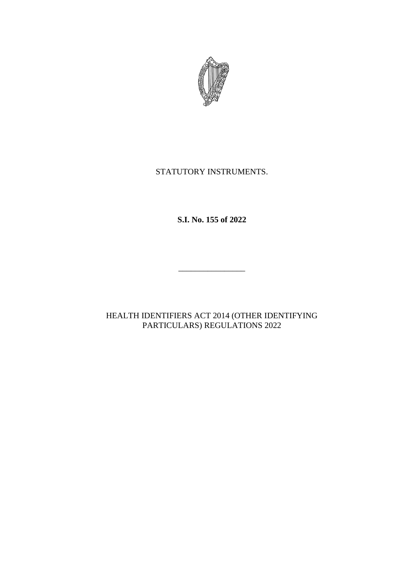

# STATUTORY INSTRUMENTS.

**S.I. No. 155 of 2022**

 $\frac{1}{2}$  , and the set of the set of the set of the set of the set of the set of the set of the set of the set of the set of the set of the set of the set of the set of the set of the set of the set of the set of the set

HEALTH IDENTIFIERS ACT 2014 (OTHER IDENTIFYING PARTICULARS) REGULATIONS 2022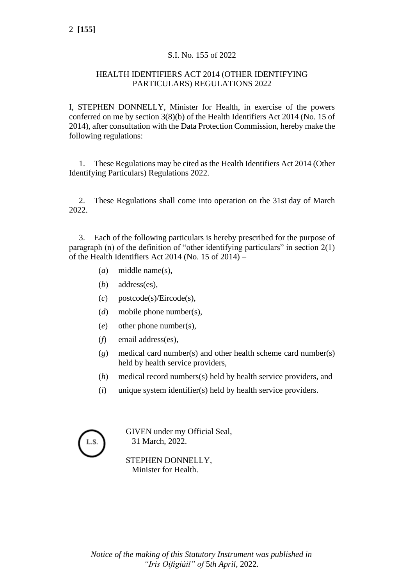### S.I. No. 155 of 2022

#### HEALTH IDENTIFIERS ACT 2014 (OTHER IDENTIFYING PARTICULARS) REGULATIONS 2022

I, STEPHEN DONNELLY, Minister for Health, in exercise of the powers conferred on me by section 3(8)(b) of the Health Identifiers Act 2014 (No. 15 of 2014), after consultation with the Data Protection Commission, hereby make the following regulations:

1. These Regulations may be cited as the Health Identifiers Act 2014 (Other Identifying Particulars) Regulations 2022.

2. These Regulations shall come into operation on the 31st day of March 2022.

3. Each of the following particulars is hereby prescribed for the purpose of paragraph (n) of the definition of "other identifying particulars" in section  $2(1)$ of the Health Identifiers Act 2014 (No. 15 of  $2014$ ) –

- (*a*) middle name(s),
- (*b*) address(es),
- (*c*) postcode(s)/Eircode(s),
- (*d*) mobile phone number(s),
- (*e*) other phone number(s),
- (*f*) email address(es),
- (*g*) medical card number(s) and other health scheme card number(s) held by health service providers,
- (*h*) medical record numbers(s) held by health service providers, and
- (*i*) unique system identifier(s) held by health service providers.

GIVEN under my Official Seal, 31 March, 2022.

STEPHEN DONNELLY, Minister for Health.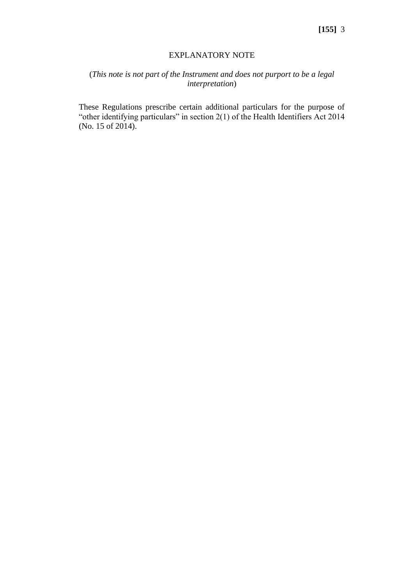#### EXPLANATORY NOTE

## (*This note is not part of the Instrument and does not purport to be a legal interpretation*)

These Regulations prescribe certain additional particulars for the purpose of "other identifying particulars" in section 2(1) of the Health Identifiers Act 2014 (No. 15 of 2014).